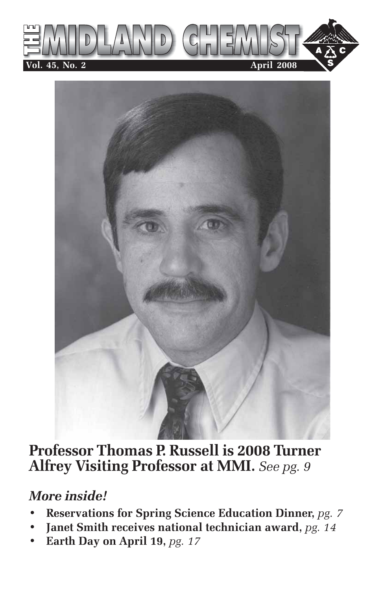



**Professor Thomas P. Russell is 2008 Turner Alfrey Visiting Professor at MMI.** *See pg. 9*

# *More inside!*

- **Reservations for Spring Science Education Dinner,** *pg. 7*
- **Janet Smith receives national technician award,** *pg. 14*
- **Earth Day on April 19,** *pg. 17*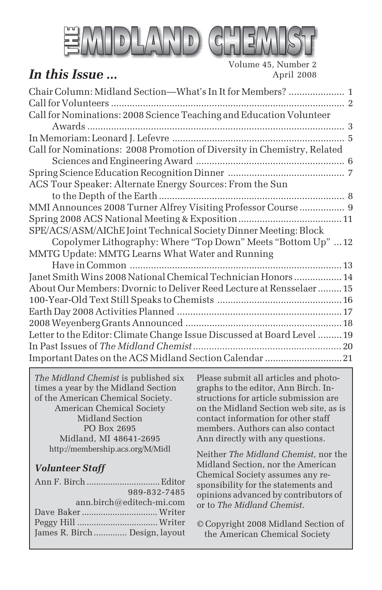

# *In this Issue* ...

Volume 45, Number 2

*The Midland Chemist* is published six times a year by the Midland Section of the American Chemical Society. American Chemical Society Midland Section PO Box 2695 Midland, MI 48641-2695 http://membership.acs.org/M/Midl

## *Volunteer Staff*

|                                | 989-832-7485             |
|--------------------------------|--------------------------|
|                                | ann.birch@editech-mi.com |
|                                |                          |
|                                |                          |
| James R. Birch  Design, layout |                          |
|                                |                          |

Please submit all articles and photographs to the editor, Ann Birch. Instructions for article submission are on the Midland Section web site, as is contact information for other staff members. Authors can also contact Ann directly with any questions.

Neither *The Midland Chemist*, nor the Midland Section, nor the American Chemical Society assumes any responsibility for the statements and opinions advanced by contributors of or to *The Midland Chemist*.

© Copyright 2008 Midland Section of the American Chemical Society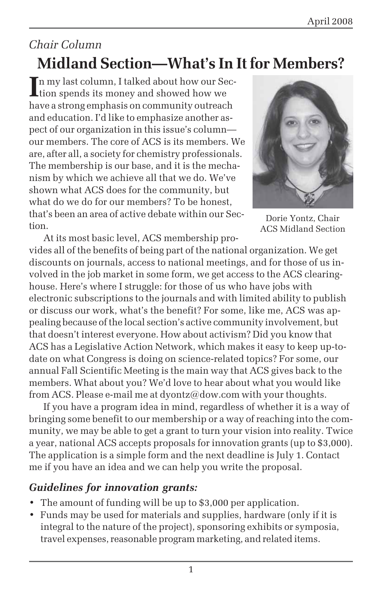# *Chair Column* **Midland Section—What's In It for Members?**

In my last column, I talked about how our Sec-<br>ion spends its money and showed how we tion spends its money and showed how we have a strong emphasis on community outreach and education. I'd like to emphasize another aspect of our organization in this issue's column our members. The core of ACS is its members. We are, after all, a society for chemistry professionals. The membership is our base, and it is the mechanism by which we achieve all that we do. We've shown what ACS does for the community, but what do we do for our members? To be honest, that's been an area of active debate within our Section.



Dorie Yontz, Chair ACS Midland Section

At its most basic level, ACS membership provides all of the benefits of being part of the national organization. We get discounts on journals, access to national meetings, and for those of us involved in the job market in some form, we get access to the ACS clearinghouse. Here's where I struggle: for those of us who have jobs with electronic subscriptions to the journals and with limited ability to publish or discuss our work, what's the benefit? For some, like me, ACS was appealing because of the local section's active community involvement, but that doesn't interest everyone. How about activism? Did you know that ACS has a Legislative Action Network, which makes it easy to keep up-todate on what Congress is doing on science-related topics? For some, our annual Fall Scientific Meeting is the main way that ACS gives back to the members. What about you? We'd love to hear about what you would like from ACS. Please e-mail me at dyontz@dow.com with your thoughts.

If you have a program idea in mind, regardless of whether it is a way of bringing some benefit to our membership or a way of reaching into the community, we may be able to get a grant to turn your vision into reality. Twice a year, national ACS accepts proposals for innovation grants (up to \$3,000). The application is a simple form and the next deadline is July 1. Contact me if you have an idea and we can help you write the proposal.

## *Guidelines for innovation grants:*

- The amount of funding will be up to \$3,000 per application.
- Funds may be used for materials and supplies, hardware (only if it is integral to the nature of the project), sponsoring exhibits or symposia, travel expenses, reasonable program marketing, and related items.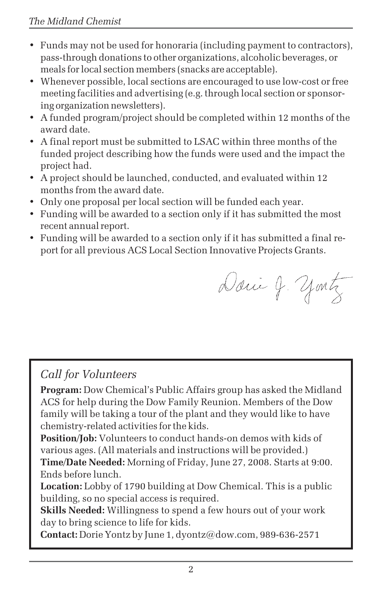- Funds may not be used for honoraria (including payment to contractors), pass-through donations to other organizations, alcoholic beverages, or meals for local section members (snacks are acceptable).
- Whenever possible, local sections are encouraged to use low-cost or free meeting facilities and advertising (e.g. through local section or sponsoring organization newsletters).
- A funded program/project should be completed within 12 months of the award date.
- A final report must be submitted to LSAC within three months of the funded project describing how the funds were used and the impact the project had.
- A project should be launched, conducted, and evaluated within 12 months from the award date.
- Only one proposal per local section will be funded each year.
- Funding will be awarded to a section only if it has submitted the most recent annual report.
- Funding will be awarded to a section only if it has submitted a final report for all previous ACS Local Section Innovative Projects Grants.

Danie J. yontz

## *Call for Volunteers*

**Program:** Dow Chemical's Public Affairs group has asked the Midland ACS for help during the Dow Family Reunion. Members of the Dow family will be taking a tour of the plant and they would like to have chemistry-related activities for the kids.

**Position/Job:** Volunteers to conduct hands-on demos with kids of various ages. (All materials and instructions will be provided.)

**Time/Date Needed:** Morning of Friday, June 27, 2008. Starts at 9:00. Ends before lunch.

**Location:** Lobby of 1790 building at Dow Chemical. This is a public building, so no special access is required.

**Skills Needed:** Willingness to spend a few hours out of your work day to bring science to life for kids.

**Contact:** Dorie Yontz by June 1, dyontz@dow.com, 989-636-2571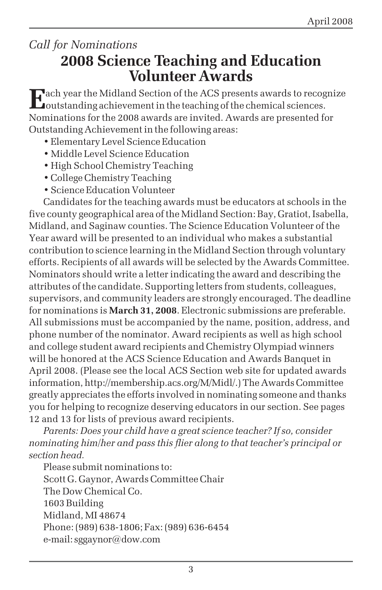## *Call for Nominations* **2008 Science Teaching and Education Volunteer Awards**

**E**ach year the Midland Section of the ACS presents awards to recognize  $\Box$ outstanding achievement in the teaching of the chemical sciences. Nominations for the 2008 awards are invited. Awards are presented for Outstanding Achievement in the following areas:

- Elementary Level Science Education
- Middle Level Science Education
- High School Chemistry Teaching
- College Chemistry Teaching
- Science Education Volunteer

Candidates for the teaching awards must be educators at schools in the five county geographical area of the Midland Section: Bay, Gratiot, Isabella, Midland, and Saginaw counties. The Science Education Volunteer of the Year award will be presented to an individual who makes a substantial contribution to science learning in the Midland Section through voluntary efforts. Recipients of all awards will be selected by the Awards Committee. Nominators should write a letter indicating the award and describing the attributes of the candidate. Supporting letters from students, colleagues, supervisors, and community leaders are strongly encouraged. The deadline for nominations is **March 31, 2008**. Electronic submissions are preferable. All submissions must be accompanied by the name, position, address, and phone number of the nominator. Award recipients as well as high school and college student award recipients and Chemistry Olympiad winners will be honored at the ACS Science Education and Awards Banquet in April 2008. (Please see the local ACS Section web site for updated awards information, http://membership.acs.org/M/Midl/.) The Awards Committee greatly appreciates the efforts involved in nominating someone and thanks you for helping to recognize deserving educators in our section. See pages 12 and 13 for lists of previous award recipients.

*Parents: Does your child have a great science teacher? If so, consider nominating him/her and pass this flier along to that teacher's principal or section head.*

Please submit nominations to: Scott G. Gaynor, Awards Committee Chair The Dow Chemical Co. 1603 Building Midland, MI 48674 Phone: (989) 638-1806; Fax: (989) 636-6454 e-mail: sggaynor@dow.com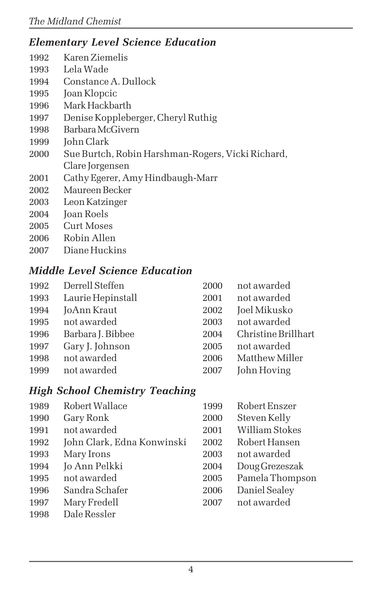## *Elementary Level Science Education*

- 1992 Karen Ziemelis
- 1993 Lela Wade
- Constance A. Dullock
- Joan Klopcic
- Mark Hackbarth
- Denise Koppleberger, Cheryl Ruthig
- Barbara McGivern
- John Clark
- Sue Burtch, Robin Harshman-Rogers, Vicki Richard, Clare Jorgensen
- 2001 Cathy Egerer, Amy Hindbaugh-Marr
- Maureen Becker
- Leon Katzinger
- Joan Roels
- 2005 Curt Moses
- Robin Allen
- Diane Huckins

## *Middle Level Science Education*

| Derrell Steffen   | 2000 | not awarded         |
|-------------------|------|---------------------|
| Laurie Hepinstall | 2001 | not awarded         |
| JoAnn Kraut       | 2002 | Joel Mikusko        |
| not awarded       | 2003 | not awarded         |
| Barbara J. Bibbee | 2004 | Christine Brillhart |
| Gary J. Johnson   | 2005 | not awarded         |
| not awarded       | 2006 | Matthew Miller      |
| not awarded       | 2007 | John Hoving         |
|                   |      |                     |

## *High School Chemistry Teaching*

| 1989 | Robert Wallace             | 1999 | Robert Enszer   |
|------|----------------------------|------|-----------------|
| 1990 | Gary Ronk                  | 2000 | Steven Kelly    |
| 1991 | not awarded                | 2001 | William Stokes  |
| 1992 | John Clark, Edna Konwinski | 2002 | Robert Hansen   |
| 1993 | Mary Irons                 | 2003 | not awarded     |
| 1994 | Jo Ann Pelkki              | 2004 | Doug Grezeszak  |
| 1995 | not awarded                | 2005 | Pamela Thompson |
| 1996 | Sandra Schafer             | 2006 | Daniel Sealey   |
| 1997 | Mary Fredell               | 2007 | not awarded     |
| 1998 | Dale Ressler               |      |                 |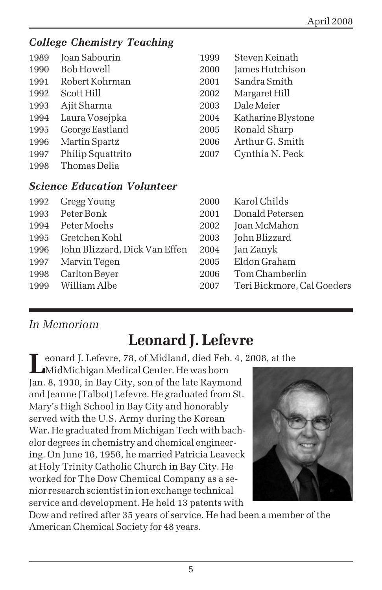## *College Chemistry Teaching*

| 1989 | Joan Sabourin                      | 1999 | Steven Keinath     |
|------|------------------------------------|------|--------------------|
| 1990 | Bob Howell                         | 2000 | James Hutchison    |
| 1991 | Robert Kohrman                     | 2001 | Sandra Smith       |
| 1992 | Scott Hill                         | 2002 | Margaret Hill      |
| 1993 | Ajit Sharma                        | 2003 | Dale Meier         |
| 1994 | Laura Vosejpka                     | 2004 | Katharine Blystone |
| 1995 | George Eastland                    | 2005 | Ronald Sharp       |
| 1996 | <b>Martin Spartz</b>               | 2006 | Arthur G. Smith    |
| 1997 | Philip Squattrito                  | 2007 | Cynthia N. Peck    |
| 1998 | Thomas Delia                       |      |                    |
|      | <b>Science Education Volunteer</b> |      |                    |
| 1992 | Gregg Young                        | 2000 | Karol Childs       |
| 1993 | Peter Bonk                         | 2001 | Donald Petersen    |
| 1994 | Peter Moehs                        | 2002 | Joan McMahon       |
| 1995 | Gretchen Kohl                      | 2003 | John Blizzard      |
| 1996 | John Blizzard, Dick Van Effen      | 2004 | Jan Zanyk          |
| 1997 | Marvin Tegen                       | 2005 | Eldon Graham       |
| 1998 | Carlton Beyer                      | 2006 | Tom Chamberlin     |

| 1996 – John Blizzard, Dick Van Effen – 2004 – Jan Zanyk |                                 |
|---------------------------------------------------------|---------------------------------|
| 1997 Marvin Tegen                                       | 2005 Eldon Graham               |
| 1998 Carlton Bever                                      | 2006 Tom Chamberlin             |
| 1999 William Albe                                       | 2007 Teri Bickmore, Cal Goeders |
|                                                         |                                 |

## *In Memoriam*

# **Leonard J. Lefevre**

**L**eonard J. Lefevre, 78, of Midland, died Feb. 4, 2008, at the

MidMichigan Medical Center. He was born Jan. 8, 1930, in Bay City, son of the late Raymond and Jeanne (Talbot) Lefevre. He graduated from St. Mary's High School in Bay City and honorably served with the U.S. Army during the Korean War. He graduated from Michigan Tech with bachelor degrees in chemistry and chemical engineering. On June 16, 1956, he married Patricia Leaveck at Holy Trinity Catholic Church in Bay City. He worked for The Dow Chemical Company as a senior research scientist in ion exchange technical service and development. He held 13 patents with



Dow and retired after 35 years of service. He had been a member of the American Chemical Society for 48 years.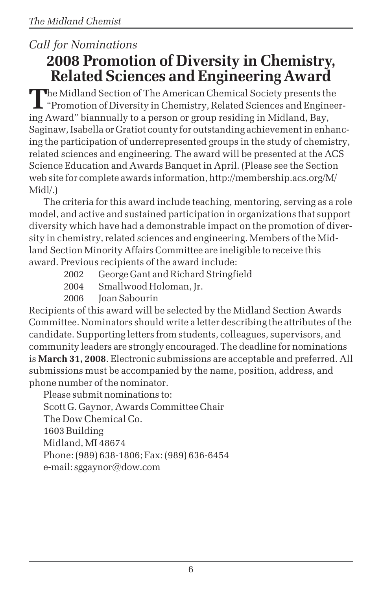# *Call for Nominations* **2008 Promotion of Diversity in Chemistry, Related Sciences and Engineering Award**

The Midland Section of The American Chemical Society presents the<br>"Promotion of Diversity in Chemistry, Related Sciences and Engineering Award" biannually to a person or group residing in Midland, Bay, Saginaw, Isabella or Gratiot county for outstanding achievement in enhancing the participation of underrepresented groups in the study of chemistry, related sciences and engineering. The award will be presented at the ACS Science Education and Awards Banquet in April. (Please see the Section web site for complete awards information, http://membership.acs.org/M/ Midl/.)

The criteria for this award include teaching, mentoring, serving as a role model, and active and sustained participation in organizations that support diversity which have had a demonstrable impact on the promotion of diversity in chemistry, related sciences and engineering. Members of the Midland Section Minority Affairs Committee are ineligible to receive this award. Previous recipients of the award include:

- 2002 George Gant and Richard Stringfield
- 2004 Smallwood Holoman, Jr.

2006 Joan Sabourin

Recipients of this award will be selected by the Midland Section Awards Committee. Nominators should write a letter describing the attributes of the candidate. Supporting letters from students, colleagues, supervisors, and community leaders are strongly encouraged. The deadline for nominations is **March 31, 2008**. Electronic submissions are acceptable and preferred. All submissions must be accompanied by the name, position, address, and phone number of the nominator.

Please submit nominations to: Scott G. Gaynor, Awards Committee Chair The Dow Chemical Co. 1603 Building Midland, MI 48674 Phone: (989) 638-1806; Fax: (989) 636-6454 e-mail: sggaynor@dow.com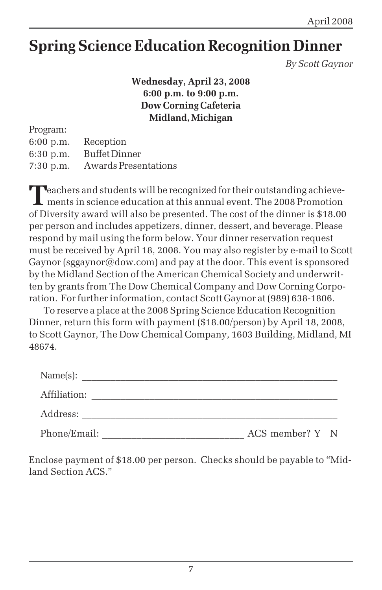# **Spring Science Education Recognition Dinner**

*By Scott Gaynor*

**Wednesday, April 23, 2008 6:00 p.m. to 9:00 p.m. Dow Corning Cafeteria Midland, Michigan**

Program: 6:00 p.m. Reception 6:30 p.m. Buffet Dinner 7:30 p.m. Awards Presentations

**T**eachers and students will be recognized for their outstanding achieve-**L** ments in science education at this annual event. The 2008 Promotion of Diversity award will also be presented. The cost of the dinner is \$18.00 per person and includes appetizers, dinner, dessert, and beverage. Please respond by mail using the form below. Your dinner reservation request must be received by April 18, 2008. You may also register by e-mail to Scott Gaynor (sggaynor@dow.com) and pay at the door. This event is sponsored by the Midland Section of the American Chemical Society and underwritten by grants from The Dow Chemical Company and Dow Corning Corporation. For further information, contact Scott Gaynor at (989) 638-1806.

To reserve a place at the 2008 Spring Science Education Recognition Dinner, return this form with payment (\$18.00/person) by April 18, 2008, to Scott Gaynor, The Dow Chemical Company, 1603 Building, Midland, MI 48674.

| Name(s):     |                 |  |
|--------------|-----------------|--|
| Affiliation: |                 |  |
| Address:     |                 |  |
| Phone/Email: | ACS member? Y N |  |

Enclose payment of \$18.00 per person. Checks should be payable to "Midland Section ACS."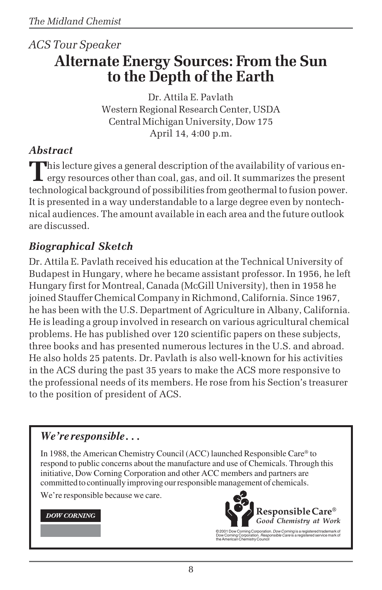# *ACS Tour Speaker* **Alternate Energy Sources: From the Sun to the Depth of the Earth**

Dr. Attila E. Pavlath Western Regional Research Center, USDA Central Michigan University, Dow 175 April 14, 4:00 p.m.

## *Abstract*

This lecture gives a general description of the availability of various energy resources other than coal, gas, and oil. It summarizes the present technological background of possibilities from geothermal to fusion power. It is presented in a way understandable to a large degree even by nontechnical audiences. The amount available in each area and the future outlook are discussed.

## *Biographical Sketch*

Dr. Attila E. Pavlath received his education at the Technical University of Budapest in Hungary, where he became assistant professor. In 1956, he left Hungary first for Montreal, Canada (McGill University), then in 1958 he joined Stauffer Chemical Company in Richmond, California. Since 1967, he has been with the U.S. Department of Agriculture in Albany, California. He is leading a group involved in research on various agricultural chemical problems. He has published over 120 scientific papers on these subjects, three books and has presented numerous lectures in the U.S. and abroad. He also holds 25 patents. Dr. Pavlath is also well-known for his activities in the ACS during the past 35 years to make the ACS more responsive to the professional needs of its members. He rose from his Section's treasurer to the position of president of ACS.

## *We're responsible . . .*

In 1988, the American Chemistry Council (ACC) launched Responsible Care® to respond to public concerns about the manufacture and use of Chemicals. Through this initiative, Dow Corning Corporation and other ACC members and partners are committed to continually improving our responsible management of chemicals.

We're responsible because we care.

### **DOW CORNING**



© 2001 Dow Corning Corporation. *Dow Corning* is a registered trademark of<br>Dow Corning Corporation. *Responsible Care* is a registered service mark of<br>the American Chemistry Council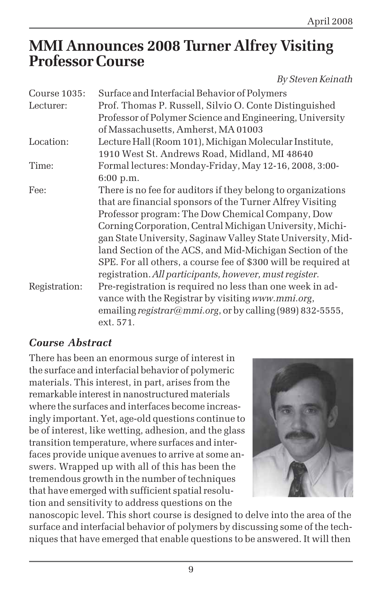# **MMI Announces 2008 Turner Alfrey Visiting Professor Course**

*By Steven Keinath*

| Course 1035:  | Surface and Interfacial Behavior of Polymers                   |
|---------------|----------------------------------------------------------------|
| Lecturer:     | Prof. Thomas P. Russell, Silvio O. Conte Distinguished         |
|               | Professor of Polymer Science and Engineering, University       |
|               | of Massachusetts, Amherst, MA 01003                            |
| Location:     | Lecture Hall (Room 101), Michigan Molecular Institute,         |
|               | 1910 West St. Andrews Road, Midland, MI 48640                  |
| Time:         | Formal lectures: Monday-Friday, May 12-16, 2008, 3:00-         |
|               | 6:00 p.m.                                                      |
| Fee:          | There is no fee for auditors if they belong to organizations   |
|               | that are financial sponsors of the Turner Alfrey Visiting      |
|               | Professor program: The Dow Chemical Company, Dow               |
|               | Corning Corporation, Central Michigan University, Michi-       |
|               | gan State University, Saginaw Valley State University, Mid-    |
|               | land Section of the ACS, and Mid-Michigan Section of the       |
|               | SPE. For all others, a course fee of \$300 will be required at |
|               | registration. All participants, however, must register.        |
| Registration: | Pre-registration is required no less than one week in ad-      |
|               | vance with the Registrar by visiting www.mmi.org,              |
|               | emailing registrar@mmi.org, or by calling (989) 832-5555,      |
|               | ext. 571.                                                      |

## *Course Abstract*

There has been an enormous surge of interest in the surface and interfacial behavior of polymeric materials. This interest, in part, arises from the remarkable interest in nanostructured materials where the surfaces and interfaces become increasingly important. Yet, age-old questions continue to be of interest, like wetting, adhesion, and the glass transition temperature, where surfaces and interfaces provide unique avenues to arrive at some answers. Wrapped up with all of this has been the tremendous growth in the number of techniques that have emerged with sufficient spatial resolution and sensitivity to address questions on the



nanoscopic level. This short course is designed to delve into the area of the surface and interfacial behavior of polymers by discussing some of the techniques that have emerged that enable questions to be answered. It will then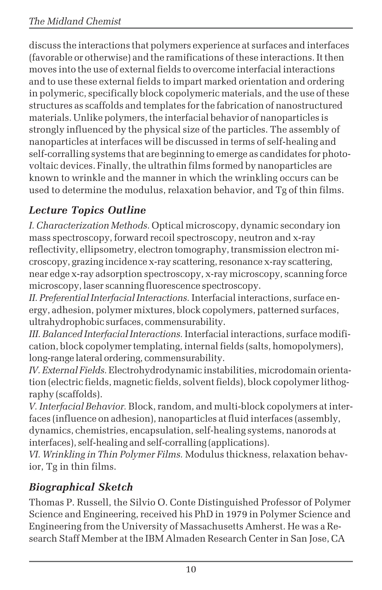discuss the interactions that polymers experience at surfaces and interfaces (favorable or otherwise) and the ramifications of these interactions. It then moves into the use of external fields to overcome interfacial interactions and to use these external fields to impart marked orientation and ordering in polymeric, specifically block copolymeric materials, and the use of these structures as scaffolds and templates for the fabrication of nanostructured materials. Unlike polymers, the interfacial behavior of nanoparticles is strongly influenced by the physical size of the particles. The assembly of nanoparticles at interfaces will be discussed in terms of self-healing and self-corralling systems that are beginning to emerge as candidates for photovoltaic devices. Finally, the ultrathin films formed by nanoparticles are known to wrinkle and the manner in which the wrinkling occurs can be used to determine the modulus, relaxation behavior, and Tg of thin films.

## *Lecture Topics Outline*

*I. Characterization Methods.* Optical microscopy, dynamic secondary ion mass spectroscopy, forward recoil spectroscopy, neutron and x-ray reflectivity, ellipsometry, electron tomography, transmission electron microscopy, grazing incidence x-ray scattering, resonance x-ray scattering, near edge x-ray adsorption spectroscopy, x-ray microscopy, scanning force microscopy, laser scanning fluorescence spectroscopy.

*II. Preferential Interfacial Interactions.* Interfacial interactions, surface energy, adhesion, polymer mixtures, block copolymers, patterned surfaces, ultrahydrophobic surfaces, commensurability.

*III. Balanced Interfacial Interactions.* Interfacial interactions, surface modification, block copolymer templating, internal fields (salts, homopolymers), long-range lateral ordering, commensurability.

*IV. External Fields.* Electrohydrodynamic instabilities, microdomain orientation (electric fields, magnetic fields, solvent fields), block copolymer lithography (scaffolds).

*V. Interfacial Behavior.* Block, random, and multi-block copolymers at interfaces (influence on adhesion), nanoparticles at fluid interfaces (assembly, dynamics, chemistries, encapsulation, self-healing systems, nanorods at interfaces), self-healing and self-corralling (applications).

*VI. Wrinkling in Thin Polymer Films.* Modulus thickness, relaxation behavior, Tg in thin films.

## *Biographical Sketch*

Thomas P. Russell, the Silvio O. Conte Distinguished Professor of Polymer Science and Engineering, received his PhD in 1979 in Polymer Science and Engineering from the University of Massachusetts Amherst. He was a Research Staff Member at the IBM Almaden Research Center in San Jose, CA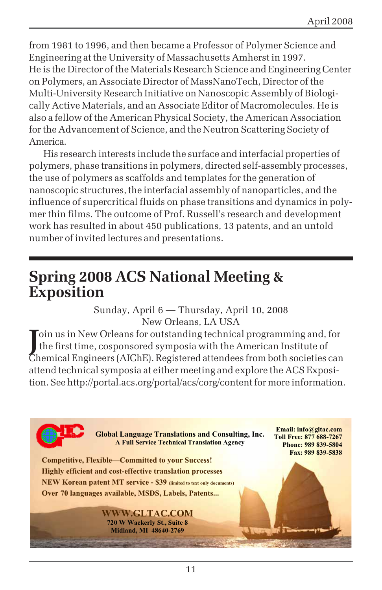from 1981 to 1996, and then became a Professor of Polymer Science and Engineering at the University of Massachusetts Amherst in 1997. He is the Director of the Materials Research Science and Engineering Center on Polymers, an Associate Director of MassNanoTech, Director of the Multi-University Research Initiative on Nanoscopic Assembly of Biologically Active Materials, and an Associate Editor of Macromolecules. He is also a fellow of the American Physical Society, the American Association for the Advancement of Science, and the Neutron Scattering Society of America.

His research interests include the surface and interfacial properties of polymers, phase transitions in polymers, directed self-assembly processes, the use of polymers as scaffolds and templates for the generation of nanoscopic structures, the interfacial assembly of nanoparticles, and the influence of supercritical fluids on phase transitions and dynamics in polymer thin films. The outcome of Prof. Russell's research and development work has resulted in about 450 publications, 13 patents, and an untold number of invited lectures and presentations.

# **Spring 2008 ACS National Meeting & Exposition**

Sunday, April 6 — Thursday, April 10, 2008 New Orleans, LA USA

Join us in New Orleans for outstanding technical programming and, for<br>the first time, cosponsored symposia with the American Institute of the first time, cosponsored symposia with the American Institute of Chemical Engineers (AIChE). Registered attendees from both societies can attend technical symposia at either meeting and explore the ACS Exposition. See http://portal.acs.org/portal/acs/corg/content for more information.

> **Global Language Translations and Consulting, Inc. A Full Service Technical Translation Agency**

**Email: info@gltac.com Toll Free: 877 688-7267 Phone: 989 839-5804 Fax: 989 839-5838** 

**Competitive, Flexible—Committed to your Success! Highly efficient and cost-effective translation processes NEW Korean patent MT service - \$39 (limited to text only documents) Over 70 languages available, MSDS, Labels, Patents...** 

> **WWW.GLTAC.COM 720 W Wackerly St., Suite 8 Midland, MI 48640-2769**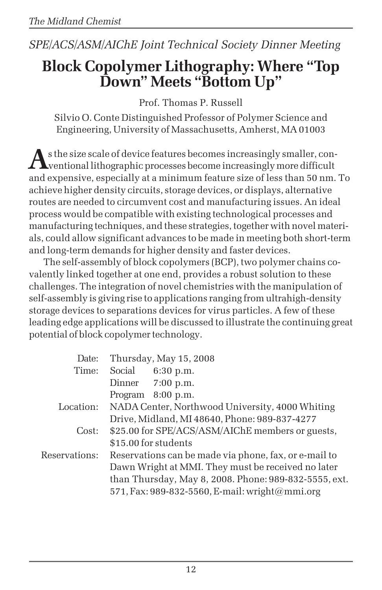## *SPE/ACS/ASM/AIChE Joint Technical Society Dinner Meeting*

# **Block Copolymer Lithography: Where "Top Down" Meets "Bottom Up"**

Prof. Thomas P. Russell

Silvio O. Conte Distinguished Professor of Polymer Science and Engineering, University of Massachusetts, Amherst, MA 01003

As the size scale of device features becomes increasingly smaller, con-<br>ventional lithographic processes become increasingly more difficult and expensive, especially at a minimum feature size of less than 50 nm. To achieve higher density circuits, storage devices, or displays, alternative routes are needed to circumvent cost and manufacturing issues. An ideal process would be compatible with existing technological processes and manufacturing techniques, and these strategies, together with novel materials, could allow significant advances to be made in meeting both short-term and long-term demands for higher density and faster devices.

The self-assembly of block copolymers (BCP), two polymer chains covalently linked together at one end, provides a robust solution to these challenges. The integration of novel chemistries with the manipulation of self-assembly is giving rise to applications ranging from ultrahigh-density storage devices to separations devices for virus particles. A few of these leading edge applications will be discussed to illustrate the continuing great potential of block copolymer technology.

| Date:         |         | Thursday, May 15, 2008                                |
|---------------|---------|-------------------------------------------------------|
| Time:         | Social  | $6:30$ p.m.                                           |
|               | Dinner  | $7:00$ p.m.                                           |
|               | Program | $8:00$ p.m.                                           |
| Location:     |         | NADA Center, Northwood University, 4000 Whiting       |
|               |         | Drive, Midland, MI 48640, Phone: 989-837-4277         |
| Cost:         |         | \$25.00 for SPE/ACS/ASM/AIChE members or guests,      |
|               |         | \$15.00 for students                                  |
| Reservations: |         | Reservations can be made via phone, fax, or e-mail to |
|               |         | Dawn Wright at MMI. They must be received no later    |
|               |         | than Thursday, May 8, 2008. Phone: 989-832-5555, ext. |
|               |         | 571, Fax: 989-832-5560, E-mail: wright@mmi.org        |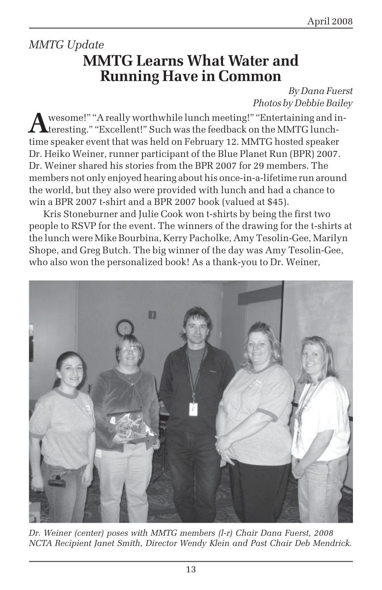# *MMTG Update* **MMTG Learns What Water and Running Have in Common**

*By Dana Fuerst Photos by Debbie Bailey*

wesome!" "A really worthwhile lunch meeting!" "Entertaining and interesting." "Excellent!" Such was the feedback on the MMTG lunchtime speaker event that was held on February 12. MMTG hosted speaker Dr. Heiko Weiner, runner participant of the Blue Planet Run (BPR) 2007. Dr. Weiner shared his stories from the BPR 2007 for 29 members. The members not only enjoyed hearing about his once-in-a-lifetime run around the world, but they also were provided with lunch and had a chance to win a BPR 2007 t-shirt and a BPR 2007 book (valued at \$45).

Kris Stoneburner and Julie Cook won t-shirts by being the first two people to RSVP for the event. The winners of the drawing for the t-shirts at the lunch were Mike Bourbina, Kerry Pacholke, Amy Tesolin-Gee, Marilyn Shope, and Greg Butch. The big winner of the day was Amy Tesolin-Gee, who also won the personalized book! As a thank-you to Dr. Weiner,



*Dr. Weiner (center) poses with MMTG members (l-r) Chair Dana Fuerst, 2008 NCTA Recipient Janet Smith, Director Wendy Klein and Past Chair Deb Mendrick.*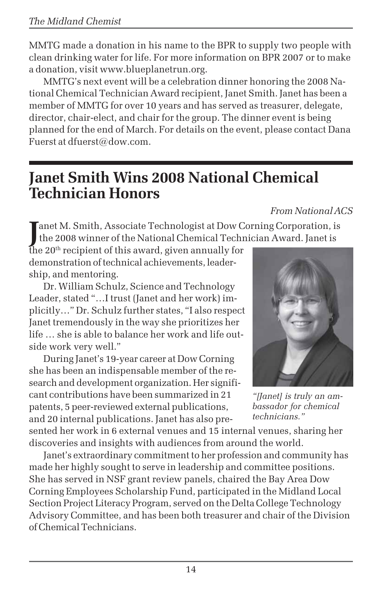MMTG made a donation in his name to the BPR to supply two people with clean drinking water for life. For more information on BPR 2007 or to make a donation, visit www.blueplanetrun.org.

MMTG's next event will be a celebration dinner honoring the 2008 National Chemical Technician Award recipient, Janet Smith. Janet has been a member of MMTG for over 10 years and has served as treasurer, delegate, director, chair-elect, and chair for the group. The dinner event is being planned for the end of March. For details on the event, please contact Dana Fuerst at dfuerst@dow.com.

# **Janet Smith Wins 2008 National Chemical Technician Honors**

*From National ACS*

Janet M. Smith, Associate Technologist at Dow Corning Corporation, is<br>the 2008 winner of the National Chemical Technician Award. Janet is the 2008 winner of the National Chemical Technician Award. Janet is

the 20th recipient of this award, given annually for demonstration of technical achievements, leadership, and mentoring.

Dr. William Schulz, Science and Technology Leader, stated "…I trust (Janet and her work) implicitly…" Dr. Schulz further states, "I also respect Janet tremendously in the way she prioritizes her life … she is able to balance her work and life outside work very well."

During Janet's 19-year career at Dow Corning she has been an indispensable member of the research and development organization. Her significant contributions have been summarized in 21 patents, 5 peer-reviewed external publications, and 20 internal publications. Janet has also pre-

sented her work in 6 external venues and 15 internal venues, sharing her discoveries and insights with audiences from around the world.

Janet's extraordinary commitment to her profession and community has made her highly sought to serve in leadership and committee positions. She has served in NSF grant review panels, chaired the Bay Area Dow Corning Employees Scholarship Fund, participated in the Midland Local Section Project Literacy Program, served on the Delta College Technology Advisory Committee, and has been both treasurer and chair of the Division of Chemical Technicians.



*"[Janet] is truly an ambassador for chemical technicians."*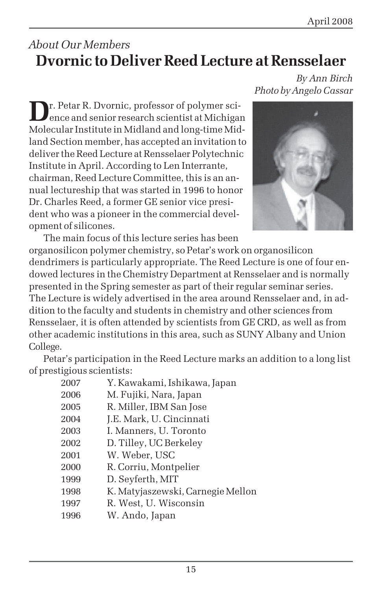# *About Our Members* **Dvornic to Deliver Reed Lecture at Rensselaer**

**D**r. Petar R. Dvornic, professor of polymer science and senior research scientist at Michigan Molecular Institute in Midland and long-time Midland Section member, has accepted an invitation to deliver the Reed Lecture at Rensselaer Polytechnic Institute in April. According to Len Interrante, chairman, Reed Lecture Committee, this is an annual lectureship that was started in 1996 to honor Dr. Charles Reed, a former GE senior vice president who was a pioneer in the commercial development of silicones.

*By Ann Birch Photo by Angelo Cassar*



The main focus of this lecture series has been organosilicon polymer chemistry, so Petar's work on organosilicon dendrimers is particularly appropriate. The Reed Lecture is one of four endowed lectures in the Chemistry Department at Rensselaer and is normally presented in the Spring semester as part of their regular seminar series. The Lecture is widely advertised in the area around Rensselaer and, in addition to the faculty and students in chemistry and other sciences from Rensselaer, it is often attended by scientists from GE CRD, as well as from other academic institutions in this area, such as SUNY Albany and Union College.

Petar's participation in the Reed Lecture marks an addition to a long list of prestigious scientists:

| 2007 | Y. Kawakami, Ishikawa, Japan      |
|------|-----------------------------------|
| 2006 | M. Fujiki, Nara, Japan            |
| 2005 | R. Miller, IBM San Jose           |
| 2004 | J.E. Mark, U. Cincinnati          |
| 2003 | I. Manners, U. Toronto            |
| 2002 | D. Tilley, UC Berkeley            |
| 2001 | W. Weber, USC                     |
| 2000 | R. Corriu, Montpelier             |
| 1999 | D. Seyferth, MIT                  |
| 1998 | K. Matyjaszewski, Carnegie Mellon |
| 1997 | R. West, U. Wisconsin             |
| 1996 | W. Ando, Japan                    |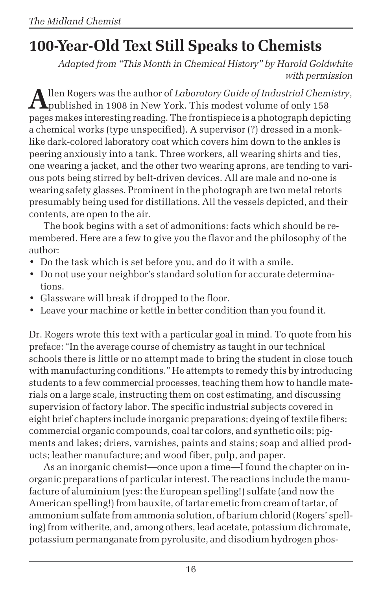# **100-Year-Old Text Still Speaks to Chemists**

*Adapted from "This Month in Chemical History" by Harold Goldwhite with permission*

**A**llen Rogers was the author of *Laboratory Guide of Industrial Chemistry*,  $\Lambda$ published in 1908 in New York. This modest volume of only 158 pages makes interesting reading. The frontispiece is a photograph depicting a chemical works (type unspecified). A supervisor (?) dressed in a monklike dark-colored laboratory coat which covers him down to the ankles is peering anxiously into a tank. Three workers, all wearing shirts and ties, one wearing a jacket, and the other two wearing aprons, are tending to various pots being stirred by belt-driven devices. All are male and no-one is wearing safety glasses. Prominent in the photograph are two metal retorts presumably being used for distillations. All the vessels depicted, and their contents, are open to the air.

The book begins with a set of admonitions: facts which should be remembered. Here are a few to give you the flavor and the philosophy of the author:

- Do the task which is set before you, and do it with a smile.
- Do not use your neighbor's standard solution for accurate determinations.
- Glassware will break if dropped to the floor.
- Leave your machine or kettle in better condition than you found it.

Dr. Rogers wrote this text with a particular goal in mind. To quote from his preface: "In the average course of chemistry as taught in our technical schools there is little or no attempt made to bring the student in close touch with manufacturing conditions." He attempts to remedy this by introducing students to a few commercial processes, teaching them how to handle materials on a large scale, instructing them on cost estimating, and discussing supervision of factory labor. The specific industrial subjects covered in eight brief chapters include inorganic preparations; dyeing of textile fibers; commercial organic compounds, coal tar colors, and synthetic oils; pigments and lakes; driers, varnishes, paints and stains; soap and allied products; leather manufacture; and wood fiber, pulp, and paper.

As an inorganic chemist—once upon a time—I found the chapter on inorganic preparations of particular interest. The reactions include the manufacture of aluminium (yes: the European spelling!) sulfate (and now the American spelling!) from bauxite, of tartar emetic from cream of tartar, of ammonium sulfate from ammonia solution, of barium chlorid (Rogers' spelling) from witherite, and, among others, lead acetate, potassium dichromate, potassium permanganate from pyrolusite, and disodium hydrogen phos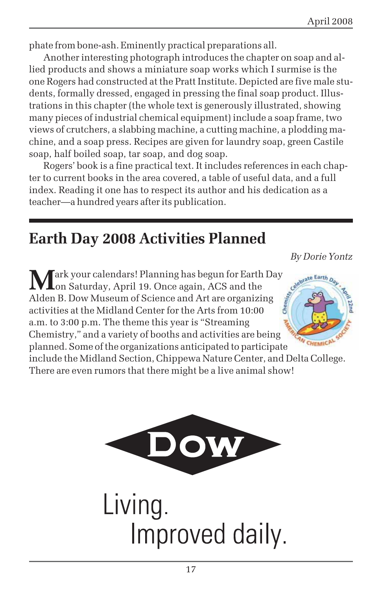phate from bone-ash. Eminently practical preparations all.

Another interesting photograph introduces the chapter on soap and allied products and shows a miniature soap works which I surmise is the one Rogers had constructed at the Pratt Institute. Depicted are five male students, formally dressed, engaged in pressing the final soap product. Illustrations in this chapter (the whole text is generously illustrated, showing many pieces of industrial chemical equipment) include a soap frame, two views of crutchers, a slabbing machine, a cutting machine, a plodding machine, and a soap press. Recipes are given for laundry soap, green Castile soap, half boiled soap, tar soap, and dog soap.

Rogers' book is a fine practical text. It includes references in each chapter to current books in the area covered, a table of useful data, and a full index. Reading it one has to respect its author and his dedication as a teacher—a hundred years after its publication.

# **Earth Day 2008 Activities Planned**

**M**ark your calendars! Planning has begun for Earth Day on Saturday, April 19. Once again, ACS and the Alden B. Dow Museum of Science and Art are organizing activities at the Midland Center for the Arts from 10:00 a.m. to 3:00 p.m. The theme this year is "Streaming Chemistry," and a variety of booths and activities are being



planned. Some of the organizations anticipated to participate include the Midland Section, Chippewa Nature Center, and Delta College. There are even rumors that there might be a live animal show!



Living. Improved daily.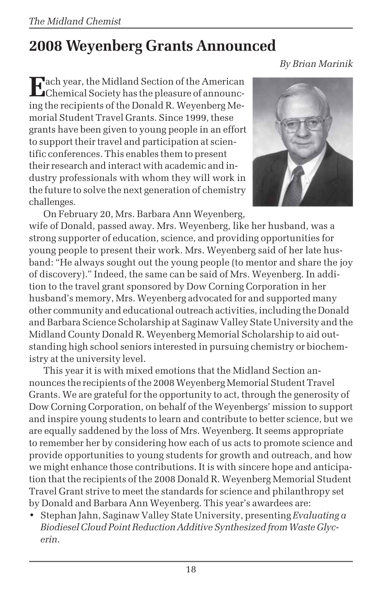# **2008 Weyenberg Grants Announced**

*By Brian Marinik*

**Each year, the Midland Section of the American** Chemical Society has the pleasure of announcing the recipients of the Donald R. Weyenberg Memorial Student Travel Grants. Since 1999, these grants have been given to young people in an effort to support their travel and participation at scientific conferences. This enables them to present their research and interact with academic and industry professionals with whom they will work in the future to solve the next generation of chemistry challenges.



On February 20, Mrs. Barbara Ann Weyenberg, wife of Donald, passed away. Mrs. Weyenberg, like her husband, was a strong supporter of education, science, and providing opportunities for young people to present their work. Mrs. Weyenberg said of her late husband: "He always sought out the young people (to mentor and share the joy of discovery)." Indeed, the same can be said of Mrs. Weyenberg. In addition to the travel grant sponsored by Dow Corning Corporation in her husband's memory, Mrs. Weyenberg advocated for and supported many other community and educational outreach activities, including the Donald and Barbara Science Scholarship at Saginaw Valley State University and the Midland County Donald R. Weyenberg Memorial Scholarship to aid outstanding high school seniors interested in pursuing chemistry or biochemistry at the university level.

This year it is with mixed emotions that the Midland Section announces the recipients of the 2008 Weyenberg Memorial Student Travel Grants. We are grateful for the opportunity to act, through the generosity of Dow Corning Corporation, on behalf of the Weyenbergs' mission to support and inspire young students to learn and contribute to better science, but we are equally saddened by the loss of Mrs. Weyenberg. It seems appropriate to remember her by considering how each of us acts to promote science and provide opportunities to young students for growth and outreach, and how we might enhance those contributions. It is with sincere hope and anticipation that the recipients of the 2008 Donald R. Weyenberg Memorial Student Travel Grant strive to meet the standards for science and philanthropy set by Donald and Barbara Ann Weyenberg. This year's awardees are:

• Stephan Jahn, Saginaw Valley State University, presenting *Evaluating a Biodiesel Cloud Point Reduction Additive Synthesized from Waste Glycerin*.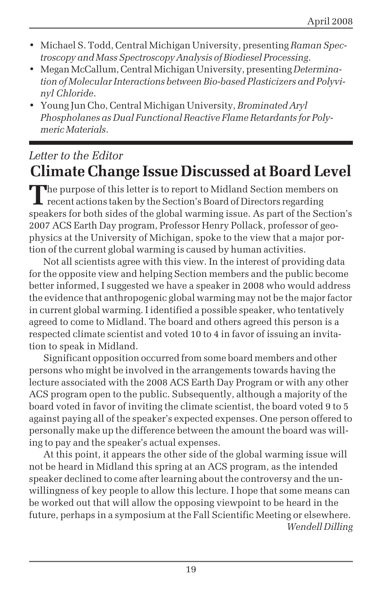- Michael S. Todd, Central Michigan University, presenting *Raman Spectroscopy and Mass Spectroscopy Analysis of Biodiesel Processing*.
- Megan McCallum, Central Michigan University, presenting *Determination of Molecular Interactions between Bio-based Plasticizers and Polyvinyl Chloride*.
- Young Jun Cho, Central Michigan University, *Brominated Aryl Phospholanes as Dual Functional Reactive Flame Retardants for Polymeric Materials*.

# *Letter to the Editor* **Climate Change Issue Discussed at Board Level**

**T**he purpose of this letter is to report to Midland Section members on **L** recent actions taken by the Section's Board of Directors regarding speakers for both sides of the global warming issue. As part of the Section's 2007 ACS Earth Day program, Professor Henry Pollack, professor of geophysics at the University of Michigan, spoke to the view that a major portion of the current global warming is caused by human activities.

Not all scientists agree with this view. In the interest of providing data for the opposite view and helping Section members and the public become better informed, I suggested we have a speaker in 2008 who would address the evidence that anthropogenic global warming may not be the major factor in current global warming. I identified a possible speaker, who tentatively agreed to come to Midland. The board and others agreed this person is a respected climate scientist and voted 10 to 4 in favor of issuing an invitation to speak in Midland.

Significant opposition occurred from some board members and other persons who might be involved in the arrangements towards having the lecture associated with the 2008 ACS Earth Day Program or with any other ACS program open to the public. Subsequently, although a majority of the board voted in favor of inviting the climate scientist, the board voted 9 to 5 against paying all of the speaker's expected expenses. One person offered to personally make up the difference between the amount the board was willing to pay and the speaker's actual expenses.

At this point, it appears the other side of the global warming issue will not be heard in Midland this spring at an ACS program, as the intended speaker declined to come after learning about the controversy and the unwillingness of key people to allow this lecture. I hope that some means can be worked out that will allow the opposing viewpoint to be heard in the future, perhaps in a symposium at the Fall Scientific Meeting or elsewhere. *Wendell Dilling*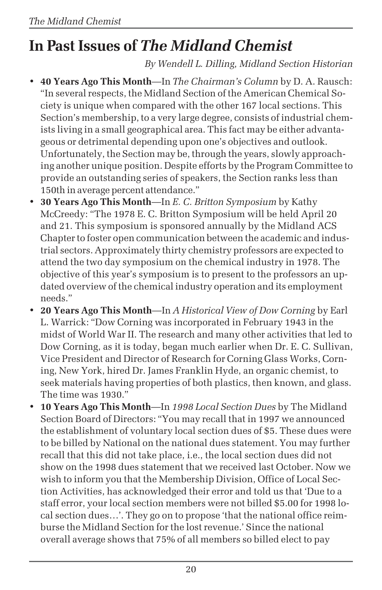# **In Past Issues of** *The Midland Chemist*

*By Wendell L. Dilling, Midland Section Historian*

- **40 Years Ago This Month**—In *The Chairman's Column* by D. A. Rausch: "In several respects, the Midland Section of the American Chemical Society is unique when compared with the other 167 local sections. This Section's membership, to a very large degree, consists of industrial chemists living in a small geographical area. This fact may be either advantageous or detrimental depending upon one's objectives and outlook. Unfortunately, the Section may be, through the years, slowly approaching another unique position. Despite efforts by the Program Committee to provide an outstanding series of speakers, the Section ranks less than 150th in average percent attendance."
- **30 Years Ago This Month**—In *E. C. Britton Symposium* by Kathy McCreedy: "The 1978 E. C. Britton Symposium will be held April 20 and 21. This symposium is sponsored annually by the Midland ACS Chapter to foster open communication between the academic and industrial sectors. Approximately thirty chemistry professors are expected to attend the two day symposium on the chemical industry in 1978. The objective of this year's symposium is to present to the professors an updated overview of the chemical industry operation and its employment needs."
- **20 Years Ago This Month**—In *A Historical View of Dow Corning* by Earl L. Warrick: "Dow Corning was incorporated in February 1943 in the midst of World War II. The research and many other activities that led to Dow Corning, as it is today, began much earlier when Dr. E. C. Sullivan, Vice President and Director of Research for Corning Glass Works, Corning, New York, hired Dr. James Franklin Hyde, an organic chemist, to seek materials having properties of both plastics, then known, and glass. The time was 1930."
- **10 Years Ago This Month**—In *1998 Local Section Dues* by The Midland Section Board of Directors: "You may recall that in 1997 we announced the establishment of voluntary local section dues of \$5. These dues were to be billed by National on the national dues statement. You may further recall that this did not take place, i.e., the local section dues did not show on the 1998 dues statement that we received last October. Now we wish to inform you that the Membership Division, Office of Local Section Activities, has acknowledged their error and told us that 'Due to a staff error, your local section members were not billed \$5.00 for 1998 local section dues…'. They go on to propose 'that the national office reimburse the Midland Section for the lost revenue.' Since the national overall average shows that 75% of all members so billed elect to pay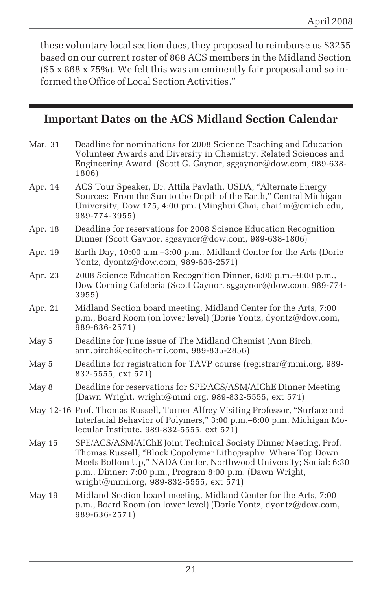these voluntary local section dues, they proposed to reimburse us \$3255 based on our current roster of 868 ACS members in the Midland Section (\$5 x 868 x 75%). We felt this was an eminently fair proposal and so informed the Office of Local Section Activities."

## **Important Dates on the ACS Midland Section Calendar**

| Mar. 31 | Deadline for nominations for 2008 Science Teaching and Education<br>Volunteer Awards and Diversity in Chemistry, Related Sciences and<br>Engineering Award (Scott G. Gaynor, sggaynor@dow.com, 989-638-<br>1806)                                                                                           |
|---------|------------------------------------------------------------------------------------------------------------------------------------------------------------------------------------------------------------------------------------------------------------------------------------------------------------|
| Apr. 14 | ACS Tour Speaker, Dr. Attila Pavlath, USDA, "Alternate Energy<br>Sources: From the Sun to the Depth of the Earth," Central Michigan<br>University, Dow 175, 4:00 pm. (Minghui Chai, chai1m@cmich.edu,<br>989-774-3955)                                                                                     |
| Apr. 18 | Deadline for reservations for 2008 Science Education Recognition<br>Dinner (Scott Gaynor, sggaynor@dow.com, 989-638-1806)                                                                                                                                                                                  |
| Apr. 19 | Earth Day, 10:00 a.m.-3:00 p.m., Midland Center for the Arts (Dorie<br>Yontz, $\frac{d}{d}$ ontz $\left(\frac{\partial}{\partial w} \right)$ .com, 989-636-2571)                                                                                                                                           |
| Apr. 23 | 2008 Science Education Recognition Dinner, 6:00 p.m.–9:00 p.m.,<br>Dow Corning Cafeteria (Scott Gaynor, sggaynor@dow.com, 989-774-<br>3955)                                                                                                                                                                |
| Apr. 21 | Midland Section board meeting, Midland Center for the Arts, 7:00<br>p.m., Board Room (on lower level) (Dorie Yontz, dyontz@dow.com,<br>989-636-2571)                                                                                                                                                       |
| May 5   | Deadline for June issue of The Midland Chemist (Ann Birch,<br>$ann.birch@editech-mi.com$ , 989-835-2856)                                                                                                                                                                                                   |
| May 5   | Deadline for registration for TAVP course (registrar@mmi.org, 989-<br>832-5555, ext 571)                                                                                                                                                                                                                   |
| May 8   | Deadline for reservations for SPE/ACS/ASM/AIChE Dinner Meeting<br>(Dawn Wright, wright@mmi.org, 989-832-5555, ext 571)                                                                                                                                                                                     |
|         | May 12-16 Prof. Thomas Russell, Turner Alfrey Visiting Professor, "Surface and<br>Interfacial Behavior of Polymers," 3:00 p.m. -6:00 p.m, Michigan Mo-<br>lecular Institute, 989-832-5555, ext 571)                                                                                                        |
| May 15  | SPE/ACS/ASM/AIChE Joint Technical Society Dinner Meeting, Prof.<br>Thomas Russell, "Block Copolymer Lithography: Where Top Down<br>Meets Bottom Up," NADA Center, Northwood University; Social: 6:30<br>p.m., Dinner: 7:00 p.m., Program 8:00 p.m. (Dawn Wright,<br>wright@mmi.org, 989-832-5555, ext 571) |
| May 19  | Midland Section board meeting, Midland Center for the Arts, 7:00<br>p.m., Board Room (on lower level) (Dorie Yontz, dyontz@dow.com,<br>989-636-2571)                                                                                                                                                       |